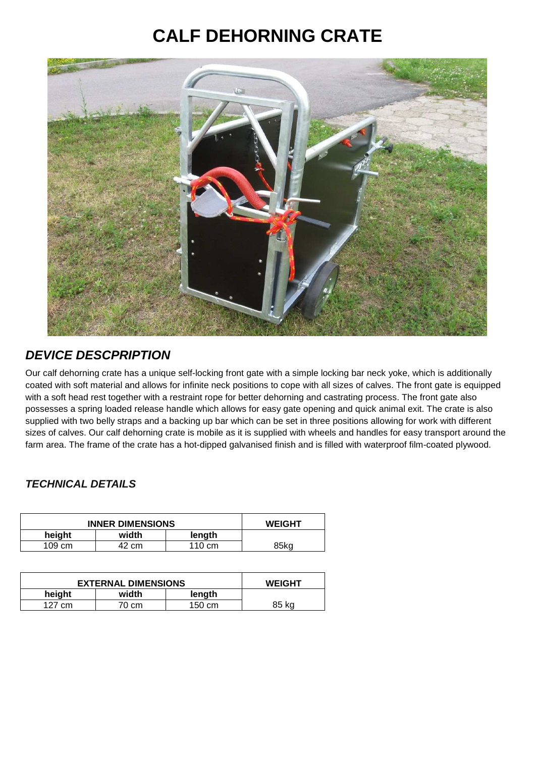## **CALF DEHORNING CRATE**



## **DEVICE DESCPRIPTION**

Our calf dehorning crate has a unique self-locking front gate with a simple locking bar neck yoke, which is additionally coated with soft material and allows for infinite neck positions to cope with all sizes of calves. The front gate is equipped with a soft head rest together with a restraint rope for better dehorning and castrating process. The front gate also possesses a spring loaded release handle which allows for easy gate opening and quick animal exit. The crate is also supplied with two belly straps and a backing up bar which can be set in three positions allowing for work with different sizes of calves. Our calf dehorning crate is mobile as it is supplied with wheels and handles for easy transport around the farm area. The frame of the crate has a hot-dipped galvanised finish and is filled with waterproof film-coated plywood.

## **TECHNICAL DETAILS**

| <b>INNER DIMENSIONS</b> | <b>WEIGHT</b> |        |      |
|-------------------------|---------------|--------|------|
| height                  | width         | length |      |
| $109 \text{ cm}$        | 42 cm         | 110 cm | 85ka |

| <b>EXTERNAL DIMENSIONS</b> |       |        | <b>WEIGHT</b> |
|----------------------------|-------|--------|---------------|
| height                     | width | length |               |
| 127<br>cm                  | 70 cm | 150 cm | 85 ka         |